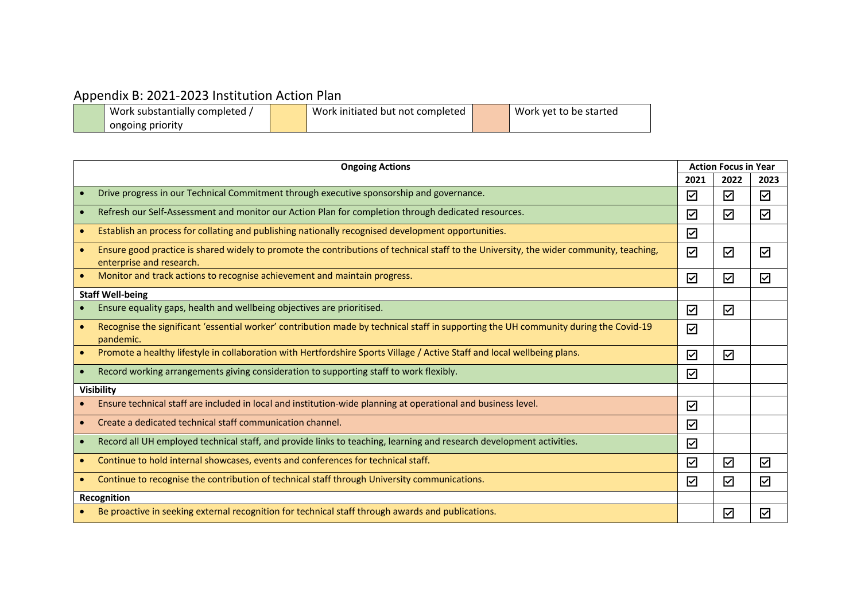## Appendix B: 2021-2023 Institution Action Plan

| Work substantially completed | Work initiated but not completed | Work yet to be started |
|------------------------------|----------------------------------|------------------------|
| ongoing priority             |                                  |                        |

| <b>Ongoing Actions</b>  |                                                                                                                                                                     | <b>Action Focus in Year</b> |                      |                   |
|-------------------------|---------------------------------------------------------------------------------------------------------------------------------------------------------------------|-----------------------------|----------------------|-------------------|
|                         |                                                                                                                                                                     | 2021                        | 2022                 | 2023              |
|                         | Drive progress in our Technical Commitment through executive sponsorship and governance.                                                                            | ☑                           | ☑                    | ☑                 |
| $\bullet$               | Refresh our Self-Assessment and monitor our Action Plan for completion through dedicated resources.                                                                 | ☑                           | ☑                    | ☑                 |
| $\bullet$               | Establish an process for collating and publishing nationally recognised development opportunities.                                                                  | ☑                           |                      |                   |
|                         | Ensure good practice is shared widely to promote the contributions of technical staff to the University, the wider community, teaching,<br>enterprise and research. | ☑                           | ☑                    | ☑                 |
| $\bullet$               | Monitor and track actions to recognise achievement and maintain progress.                                                                                           | $\triangledown$             | $\boxdot$            | ☑                 |
| <b>Staff Well-being</b> |                                                                                                                                                                     |                             |                      |                   |
|                         | Ensure equality gaps, health and wellbeing objectives are prioritised.                                                                                              | $\blacktriangledown$        | ☑                    |                   |
|                         | Recognise the significant 'essential worker' contribution made by technical staff in supporting the UH community during the Covid-19<br>pandemic.                   | $\overline{\vee}$           |                      |                   |
| $\bullet$               | Promote a healthy lifestyle in collaboration with Hertfordshire Sports Village / Active Staff and local wellbeing plans.                                            | $\triangledown$             | $\overline{\vee}$    |                   |
| $\bullet$               | Record working arrangements giving consideration to supporting staff to work flexibly.                                                                              | ☑                           |                      |                   |
| Visibility              |                                                                                                                                                                     |                             |                      |                   |
|                         | Ensure technical staff are included in local and institution-wide planning at operational and business level.                                                       | $\triangledown$             |                      |                   |
| $\bullet$               | Create a dedicated technical staff communication channel.                                                                                                           | ☑                           |                      |                   |
| $\bullet$               | Record all UH employed technical staff, and provide links to teaching, learning and research development activities.                                                | ☑                           |                      |                   |
| $\bullet$               | Continue to hold internal showcases, events and conferences for technical staff.                                                                                    | $\blacktriangledown$        | $\blacktriangledown$ | ☑                 |
| $\bullet$               | Continue to recognise the contribution of technical staff through University communications.                                                                        | $\blacktriangledown$        | $\overline{\vee}$    | $\overline{\vee}$ |
| Recognition             |                                                                                                                                                                     |                             |                      |                   |
|                         | Be proactive in seeking external recognition for technical staff through awards and publications.                                                                   |                             | ☑                    | ☑                 |